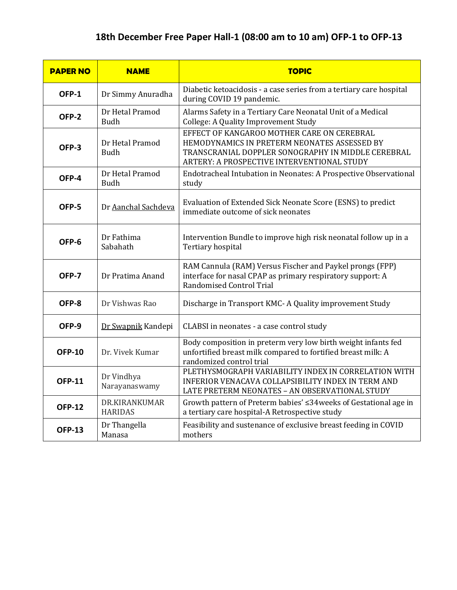## **18th December Free Paper Hall-1 (08:00 am to 10 am) OFP-1 to OFP-13**

| <b>PAPER NO</b> | <b>NAME</b>                     | <b>TOPIC</b>                                                                                                                                                                                   |
|-----------------|---------------------------------|------------------------------------------------------------------------------------------------------------------------------------------------------------------------------------------------|
| OFP-1           | Dr Simmy Anuradha               | Diabetic ketoacidosis - a case series from a tertiary care hospital<br>during COVID 19 pandemic.                                                                                               |
| OFP-2           | Dr Hetal Pramod<br><b>Budh</b>  | Alarms Safety in a Tertiary Care Neonatal Unit of a Medical<br>College: A Quality Improvement Study                                                                                            |
| OFP-3           | Dr Hetal Pramod<br><b>Budh</b>  | EFFECT OF KANGAROO MOTHER CARE ON CEREBRAL<br>HEMODYNAMICS IN PRETERM NEONATES ASSESSED BY<br>TRANSCRANIAL DOPPLER SONOGRAPHY IN MIDDLE CEREBRAL<br>ARTERY: A PROSPECTIVE INTERVENTIONAL STUDY |
| OFP-4           | Dr Hetal Pramod<br><b>Budh</b>  | Endotracheal Intubation in Neonates: A Prospective Observational<br>study                                                                                                                      |
| OFP-5           | Dr Aanchal Sachdeva             | Evaluation of Extended Sick Neonate Score (ESNS) to predict<br>immediate outcome of sick neonates                                                                                              |
| OFP-6           | Dr Fathima<br>Sabahath          | Intervention Bundle to improve high risk neonatal follow up in a<br>Tertiary hospital                                                                                                          |
| OFP-7           | Dr Pratima Anand                | RAM Cannula (RAM) Versus Fischer and Paykel prongs (FPP)<br>interface for nasal CPAP as primary respiratory support: A<br>Randomised Control Trial                                             |
| OFP-8           | Dr Vishwas Rao                  | Discharge in Transport KMC- A Quality improvement Study                                                                                                                                        |
| OFP-9           | Dr Swapnik Kandepi              | CLABSI in neonates - a case control study                                                                                                                                                      |
| <b>OFP-10</b>   | Dr. Vivek Kumar                 | Body composition in preterm very low birth weight infants fed<br>unfortified breast milk compared to fortified breast milk: A<br>randomized control trial                                      |
| <b>OFP-11</b>   | Dr Vindhya<br>Narayanaswamy     | PLETHYSMOGRAPH VARIABILITY INDEX IN CORRELATION WITH<br>INFERIOR VENACAVA COLLAPSIBILITY INDEX IN TERM AND<br>LATE PRETERM NEONATES - AN OBSERVATIONAL STUDY                                   |
| <b>OFP-12</b>   | DR.KIRANKUMAR<br><b>HARIDAS</b> | Growth pattern of Preterm babies' ≤34weeks of Gestational age in<br>a tertiary care hospital-A Retrospective study                                                                             |
| <b>OFP-13</b>   | Dr Thangella<br>Manasa          | Feasibility and sustenance of exclusive breast feeding in COVID<br>mothers                                                                                                                     |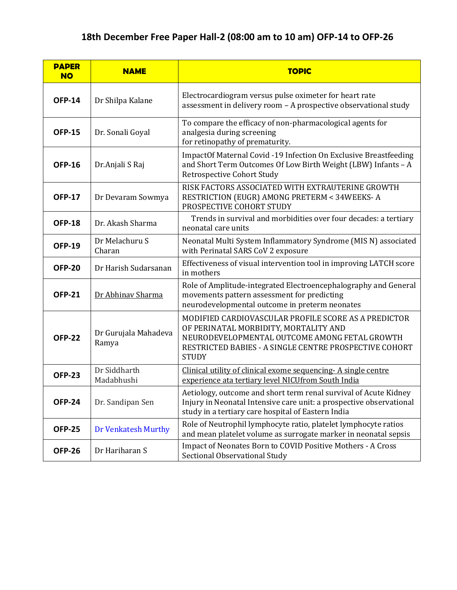## **18th December Free Paper Hall-2 (08:00 am to 10 am) OFP-14 to OFP-26**

| <b>PAPER</b><br><b>NO</b> | <b>NAME</b>                   | <b>TOPIC</b>                                                                                                                                                                                                             |
|---------------------------|-------------------------------|--------------------------------------------------------------------------------------------------------------------------------------------------------------------------------------------------------------------------|
| <b>OFP-14</b>             | Dr Shilpa Kalane              | Electrocardiogram versus pulse oximeter for heart rate<br>assessment in delivery room - A prospective observational study                                                                                                |
| <b>OFP-15</b>             | Dr. Sonali Goyal              | To compare the efficacy of non-pharmacological agents for<br>analgesia during screening<br>for retinopathy of prematurity.                                                                                               |
| <b>OFP-16</b>             | Dr. Anjali S Raj              | ImpactOf Maternal Covid -19 Infection On Exclusive Breastfeeding<br>and Short Term Outcomes Of Low Birth Weight (LBW) Infants - A<br><b>Retrospective Cohort Study</b>                                                   |
| <b>OFP-17</b>             | Dr Devaram Sowmya             | RISK FACTORS ASSOCIATED WITH EXTRAUTERINE GROWTH<br>RESTRICTION (EUGR) AMONG PRETERM < 34WEEKS-A<br>PROSPECTIVE COHORT STUDY                                                                                             |
| <b>OFP-18</b>             | Dr. Akash Sharma              | Trends in survival and morbidities over four decades: a tertiary<br>neonatal care units                                                                                                                                  |
| <b>OFP-19</b>             | Dr Melachuru S<br>Charan      | Neonatal Multi System Inflammatory Syndrome (MIS N) associated<br>with Perinatal SARS CoV 2 exposure                                                                                                                     |
| <b>OFP-20</b>             | Dr Harish Sudarsanan          | Effectiveness of visual intervention tool in improving LATCH score<br>in mothers                                                                                                                                         |
| <b>OFP-21</b>             | Dr Abhinav Sharma             | Role of Amplitude-integrated Electroencephalography and General<br>movements pattern assessment for predicting<br>neurodevelopmental outcome in preterm neonates                                                         |
| <b>OFP-22</b>             | Dr Gurujala Mahadeva<br>Ramya | MODIFIED CARDIOVASCULAR PROFILE SCORE AS A PREDICTOR<br>OF PERINATAL MORBIDITY, MORTALITY AND<br>NEURODEVELOPMENTAL OUTCOME AMONG FETAL GROWTH<br>RESTRICTED BABIES - A SINGLE CENTRE PROSPECTIVE COHORT<br><b>STUDY</b> |
| <b>OFP-23</b>             | Dr Siddharth<br>Madabhushi    | Clinical utility of clinical exome sequencing- A single centre<br>experience ata tertiary level NICUfrom South India                                                                                                     |
| <b>OFP-24</b>             | Dr. Sandipan Sen              | Aetiology, outcome and short term renal survival of Acute Kidney<br>Injury in Neonatal Intensive care unit: a prospective observational<br>study in a tertiary care hospital of Eastern India                            |
| <b>OFP-25</b>             | <b>Dr Venkatesh Murthy</b>    | Role of Neutrophil lymphocyte ratio, platelet lymphocyte ratios<br>and mean platelet volume as surrogate marker in neonatal sepsis                                                                                       |
| <b>OFP-26</b>             | Dr Hariharan S                | Impact of Neonates Born to COVID Positive Mothers - A Cross<br>Sectional Observational Study                                                                                                                             |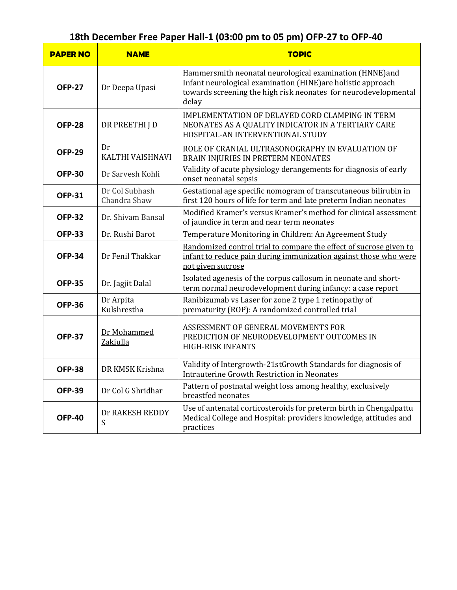# **18th December Free Paper Hall-1 (03:00 pm to 05 pm) OFP-27 to OFP-40**

| <b>PAPER NO</b> | <b>NAME</b>                    | <b>TOPIC</b>                                                                                                                                                                                        |
|-----------------|--------------------------------|-----------------------------------------------------------------------------------------------------------------------------------------------------------------------------------------------------|
| <b>OFP-27</b>   | Dr Deepa Upasi                 | Hammersmith neonatal neurological examination (HNNE)and<br>Infant neurological examination (HINE) are holistic approach<br>towards screening the high risk neonates for neurodevelopmental<br>delay |
| <b>OFP-28</b>   | DR PREETHI J D                 | IMPLEMENTATION OF DELAYED CORD CLAMPING IN TERM<br>NEONATES AS A QUALITY INDICATOR IN A TERTIARY CARE<br>HOSPITAL-AN INTERVENTIONAL STUDY                                                           |
| <b>OFP-29</b>   | Dr<br>KALTHI VAISHNAVI         | ROLE OF CRANIAL ULTRASONOGRAPHY IN EVALUATION OF<br>BRAIN INJURIES IN PRETERM NEONATES                                                                                                              |
| <b>OFP-30</b>   | Dr Sarvesh Kohli               | Validity of acute physiology derangements for diagnosis of early<br>onset neonatal sepsis                                                                                                           |
| <b>OFP-31</b>   | Dr Col Subhash<br>Chandra Shaw | Gestational age specific nomogram of transcutaneous bilirubin in<br>first 120 hours of life for term and late preterm Indian neonates                                                               |
| <b>OFP-32</b>   | Dr. Shivam Bansal              | Modified Kramer's versus Kramer's method for clinical assessment<br>of jaundice in term and near term neonates                                                                                      |
| <b>OFP-33</b>   | Dr. Rushi Barot                | Temperature Monitoring in Children: An Agreement Study                                                                                                                                              |
| <b>OFP-34</b>   | Dr Fenil Thakkar               | Randomized control trial to compare the effect of sucrose given to<br>infant to reduce pain during immunization against those who were<br>not given sucrose                                         |
| <b>OFP-35</b>   | Dr. Jagjit Dalal               | Isolated agenesis of the corpus callosum in neonate and short-<br>term normal neurodevelopment during infancy: a case report                                                                        |
| <b>OFP-36</b>   | Dr Arpita<br>Kulshrestha       | Ranibizumab vs Laser for zone 2 type 1 retinopathy of<br>prematurity (ROP): A randomized controlled trial                                                                                           |
| <b>OFP-37</b>   | Dr Mohammed<br>Zakiulla        | ASSESSMENT OF GENERAL MOVEMENTS FOR<br>PREDICTION OF NEURODEVELOPMENT OUTCOMES IN<br><b>HIGH-RISK INFANTS</b>                                                                                       |
| <b>OFP-38</b>   | DR KMSK Krishna                | Validity of Intergrowth-21stGrowth Standards for diagnosis of<br>Intrauterine Growth Restriction in Neonates                                                                                        |
| <b>OFP-39</b>   | Dr Col G Shridhar              | Pattern of postnatal weight loss among healthy, exclusively<br>breastfed neonates                                                                                                                   |
| <b>OFP-40</b>   | Dr RAKESH REDDY<br>S           | Use of antenatal corticosteroids for preterm birth in Chengalpattu<br>Medical College and Hospital: providers knowledge, attitudes and<br>practices                                                 |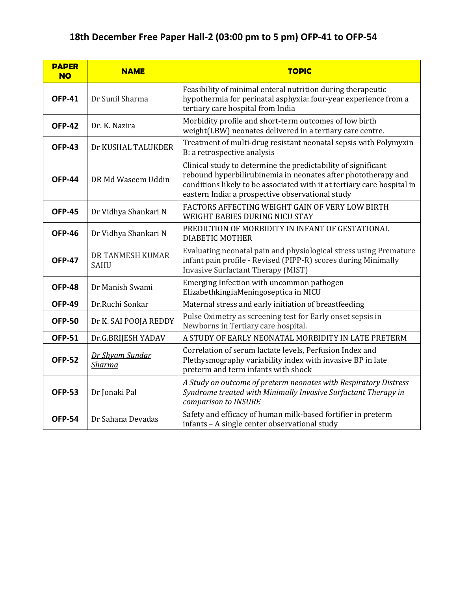## **18th December Free Paper Hall-2 (03:00 pm to 5 pm) OFP-41 to OFP-54**

| <b>PAPER</b><br><b>NO</b> | <b>NAME</b>                      | <b>TOPIC</b>                                                                                                                                                                                                                                                  |
|---------------------------|----------------------------------|---------------------------------------------------------------------------------------------------------------------------------------------------------------------------------------------------------------------------------------------------------------|
| <b>OFP-41</b>             | Dr Sunil Sharma                  | Feasibility of minimal enteral nutrition during therapeutic<br>hypothermia for perinatal asphyxia: four-year experience from a<br>tertiary care hospital from India                                                                                           |
| <b>OFP-42</b>             | Dr. K. Nazira                    | Morbidity profile and short-term outcomes of low birth<br>weight(LBW) neonates delivered in a tertiary care centre.                                                                                                                                           |
| <b>OFP-43</b>             | Dr KUSHAL TALUKDER               | Treatment of multi-drug resistant neonatal sepsis with Polymyxin<br>B: a retrospective analysis                                                                                                                                                               |
| <b>OFP-44</b>             | DR Md Waseem Uddin               | Clinical study to determine the predictability of significant<br>rebound hyperbilirubinemia in neonates after phototherapy and<br>conditions likely to be associated with it at tertiary care hospital in<br>eastern India: a prospective observational study |
| <b>OFP-45</b>             | Dr Vidhya Shankari N             | FACTORS AFFECTING WEIGHT GAIN OF VERY LOW BIRTH<br>WEIGHT BABIES DURING NICU STAY                                                                                                                                                                             |
| <b>OFP-46</b>             | Dr Vidhya Shankari N             | PREDICTION OF MORBIDITY IN INFANT OF GESTATIONAL<br><b>DIABETIC MOTHER</b>                                                                                                                                                                                    |
| <b>OFP-47</b>             | DR TANMESH KUMAR<br><b>SAHU</b>  | Evaluating neonatal pain and physiological stress using Premature<br>infant pain profile - Revised (PIPP-R) scores during Minimally<br><b>Invasive Surfactant Therapy (MIST)</b>                                                                              |
| <b>OFP-48</b>             | Dr Manish Swami                  | Emerging Infection with uncommon pathogen<br>ElizabethkingiaMeningoseptica in NICU                                                                                                                                                                            |
| <b>OFP-49</b>             | Dr.Ruchi Sonkar                  | Maternal stress and early initiation of breastfeeding                                                                                                                                                                                                         |
| <b>OFP-50</b>             | Dr K. SAI POOJA REDDY            | Pulse Oximetry as screening test for Early onset sepsis in<br>Newborns in Tertiary care hospital.                                                                                                                                                             |
| <b>OFP-51</b>             | Dr.G.BRIJESH YADAV               | A STUDY OF EARLY NEONATAL MORBIDITY IN LATE PRETERM                                                                                                                                                                                                           |
| <b>OFP-52</b>             | Dr Shyam Sundar<br><b>Sharma</b> | Correlation of serum lactate levels, Perfusion Index and<br>Plethysmography variability index with invasive BP in late<br>preterm and term infants with shock                                                                                                 |
| <b>OFP-53</b>             | Dr Jonaki Pal                    | A Study on outcome of preterm neonates with Respiratory Distress<br>Syndrome treated with Minimally Invasive Surfactant Therapy in<br>comparison to INSURE                                                                                                    |
| <b>OFP-54</b>             | Dr Sahana Devadas                | Safety and efficacy of human milk-based fortifier in preterm<br>infants - A single center observational study                                                                                                                                                 |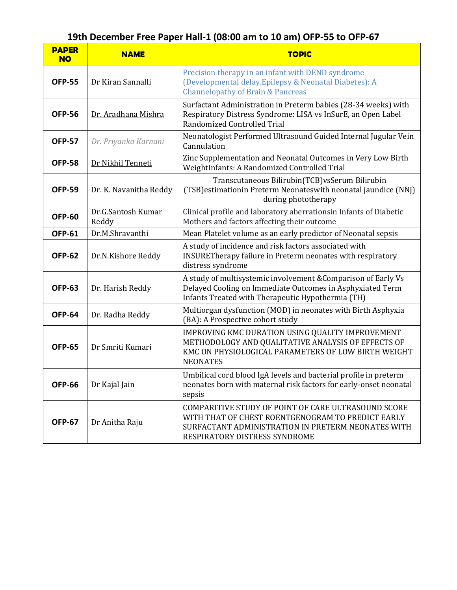## **19th December Free Paper Hall-1 (08:00 am to 10 am) OFP-55 to OFP-67**

| <b>PAPER</b><br><b>NO</b> | <b>NAME</b>                 | <b>TOPIC</b>                                                                                                                                                                                    |
|---------------------------|-----------------------------|-------------------------------------------------------------------------------------------------------------------------------------------------------------------------------------------------|
| <b>OFP-55</b>             | Dr Kiran Sannalli           | Precision therapy in an infant with DEND syndrome<br>(Developmental delay, Epilepsy & Neonatal Diabetes): A<br><b>Channelopathy of Brain &amp; Pancreas</b>                                     |
| <b>OFP-56</b>             | Dr. Aradhana Mishra         | Surfactant Administration in Preterm babies (28-34 weeks) with<br>Respiratory Distress Syndrome: LISA vs InSurE, an Open Label<br>Randomized Controlled Trial                                   |
| <b>OFP-57</b>             | Dr. Priyanka Karnani        | Neonatologist Performed Ultrasound Guided Internal Jugular Vein<br>Cannulation                                                                                                                  |
| <b>OFP-58</b>             | Dr Nikhil Tenneti           | Zinc Supplementation and Neonatal Outcomes in Very Low Birth<br>WeightInfants: A Randomized Controlled Trial                                                                                    |
| <b>OFP-59</b>             | Dr. K. Navanitha Reddy      | Transcutaneous Bilirubin(TCB)vsSerum Bilirubin<br>(TSB) estimationin Preterm Neonateswith neonatal jaundice (NNJ)<br>during phototherapy                                                        |
| <b>OFP-60</b>             | Dr.G.Santosh Kumar<br>Reddy | Clinical profile and laboratory aberrationsin Infants of Diabetic<br>Mothers and factors affecting their outcome                                                                                |
| <b>OFP-61</b>             | Dr.M.Shravanthi             | Mean Platelet volume as an early predictor of Neonatal sepsis                                                                                                                                   |
| <b>OFP-62</b>             | Dr.N.Kishore Reddy          | A study of incidence and risk factors associated with<br>INSURETherapy failure in Preterm neonates with respiratory<br>distress syndrome                                                        |
| <b>OFP-63</b>             | Dr. Harish Reddy            | A study of multisystemic involvement & Comparison of Early Vs<br>Delayed Cooling on Immediate Outcomes in Asphyxiated Term<br>Infants Treated with Therapeutic Hypothermia (TH)                 |
| <b>OFP-64</b>             | Dr. Radha Reddy             | Multiorgan dysfunction (MOD) in neonates with Birth Asphyxia<br>(BA): A Prospective cohort study                                                                                                |
| <b>OFP-65</b>             | Dr Smriti Kumari            | IMPROVING KMC DURATION USING QUALITY IMPROVEMENT<br>METHODOLOGY AND QUALITATIVE ANALYSIS OF EFFECTS OF<br>KMC ON PHYSIOLOGICAL PARAMETERS OF LOW BIRTH WEIGHT<br><b>NEONATES</b>                |
| <b>OFP-66</b>             | Dr Kajal Jain               | Umbilical cord blood IgA levels and bacterial profile in preterm<br>neonates born with maternal risk factors for early-onset neonatal<br>sepsis                                                 |
| <b>OFP-67</b>             | Dr Anitha Raju              | COMPARITIVE STUDY OF POINT OF CARE ULTRASOUND SCORE<br>WITH THAT OF CHEST ROENTGENOGRAM TO PREDICT EARLY<br>SURFACTANT ADMINISTRATION IN PRETERM NEONATES WITH<br>RESPIRATORY DISTRESS SYNDROME |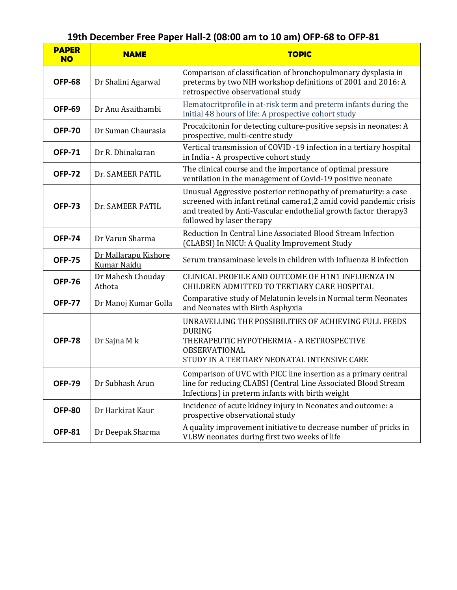| <b>PAPER</b><br><b>NO</b> | ,<br><b>NAME</b>                           | <b>TOPIC</b>                                                                                                                                                                                                                         |
|---------------------------|--------------------------------------------|--------------------------------------------------------------------------------------------------------------------------------------------------------------------------------------------------------------------------------------|
| <b>OFP-68</b>             | Dr Shalini Agarwal                         | Comparison of classification of bronchopulmonary dysplasia in<br>preterms by two NIH workshop definitions of 2001 and 2016: A<br>retrospective observational study                                                                   |
| <b>OFP-69</b>             | Dr Anu Asaithambi                          | Hematocritprofile in at-risk term and preterm infants during the<br>initial 48 hours of life: A prospective cohort study                                                                                                             |
| <b>OFP-70</b>             | Dr Suman Chaurasia                         | Procalcitonin for detecting culture-positive sepsis in neonates: A<br>prospective, multi-centre study                                                                                                                                |
| <b>OFP-71</b>             | Dr R. Dhinakaran                           | Vertical transmission of COVID-19 infection in a tertiary hospital<br>in India - A prospective cohort study                                                                                                                          |
| <b>OFP-72</b>             | Dr. SAMEER PATIL                           | The clinical course and the importance of optimal pressure<br>ventilation in the management of Covid-19 positive neonate                                                                                                             |
| <b>OFP-73</b>             | Dr. SAMEER PATIL                           | Unusual Aggressive posterior retinopathy of prematurity: a case<br>screened with infant retinal camera1,2 amid covid pandemic crisis<br>and treated by Anti-Vascular endothelial growth factor therapy3<br>followed by laser therapy |
| <b>OFP-74</b>             | Dr Varun Sharma                            | Reduction In Central Line Associated Blood Stream Infection<br>(CLABSI) In NICU: A Quality Improvement Study                                                                                                                         |
| <b>OFP-75</b>             | Dr Mallarapu Kishore<br><b>Kumar Naidu</b> | Serum transaminase levels in children with Influenza B infection                                                                                                                                                                     |
| <b>OFP-76</b>             | Dr Mahesh Chouday<br>Athota                | CLINICAL PROFILE AND OUTCOME OF H1N1 INFLUENZA IN<br>CHILDREN ADMITTED TO TERTIARY CARE HOSPITAL                                                                                                                                     |
| <b>OFP-77</b>             | Dr Manoj Kumar Golla                       | Comparative study of Melatonin levels in Normal term Neonates<br>and Neonates with Birth Asphyxia                                                                                                                                    |
| <b>OFP-78</b>             | Dr Sajna M k                               | UNRAVELLING THE POSSIBILITIES OF ACHIEVING FULL FEEDS<br><b>DURING</b><br>THERAPEUTIC HYPOTHERMIA - A RETROSPECTIVE<br>OBSERVATIONAL<br>STUDY IN A TERTIARY NEONATAL INTENSIVE CARE                                                  |
| <b>OFP-79</b>             | Dr Subhash Arun                            | Comparison of UVC with PICC line insertion as a primary central<br>line for reducing CLABSI (Central Line Associated Blood Stream<br>Infections) in preterm infants with birth weight                                                |
| <b>OFP-80</b>             | Dr Harkirat Kaur                           | Incidence of acute kidney injury in Neonates and outcome: a<br>prospective observational study                                                                                                                                       |
| <b>OFP-81</b>             | Dr Deepak Sharma                           | A quality improvement initiative to decrease number of pricks in<br>VLBW neonates during first two weeks of life                                                                                                                     |

#### **19th December Free Paper Hall-2 (08:00 am to 10 am) OFP-68 to OFP-81**